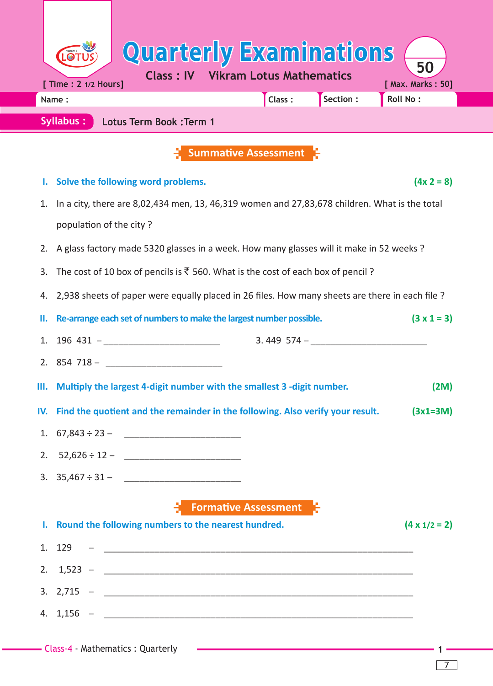|                                                                                               | <b>Quarterly Examinations</b>                                                                  |                    |                      |  |  |  |  |  |  |  |
|-----------------------------------------------------------------------------------------------|------------------------------------------------------------------------------------------------|--------------------|----------------------|--|--|--|--|--|--|--|
| 50<br><b>Class: IV Vikram Lotus Mathematics</b><br>[ Time : 2 1/2 Hours]<br>[ Max. Marks: 50] |                                                                                                |                    |                      |  |  |  |  |  |  |  |
|                                                                                               | Class:<br>Name:                                                                                | Section :          | Roll No:             |  |  |  |  |  |  |  |
| Syllabus:<br><b>Lotus Term Book: Term 1</b>                                                   |                                                                                                |                    |                      |  |  |  |  |  |  |  |
|                                                                                               | <b>Summative Assessment</b>                                                                    |                    |                      |  |  |  |  |  |  |  |
| ı.                                                                                            | Solve the following word problems.                                                             |                    | $(4x 2 = 8)$         |  |  |  |  |  |  |  |
| 1.                                                                                            | In a city, there are 8,02,434 men, 13, 46,319 women and 27,83,678 children. What is the total  |                    |                      |  |  |  |  |  |  |  |
|                                                                                               | population of the city?                                                                        |                    |                      |  |  |  |  |  |  |  |
| 2.                                                                                            | A glass factory made 5320 glasses in a week. How many glasses will it make in 52 weeks ?       |                    |                      |  |  |  |  |  |  |  |
| 3.                                                                                            | The cost of 10 box of pencils is $\overline{\xi}$ 560. What is the cost of each box of pencil? |                    |                      |  |  |  |  |  |  |  |
| 4.                                                                                            | 2,938 sheets of paper were equally placed in 26 files. How many sheets are there in each file? |                    |                      |  |  |  |  |  |  |  |
| Ш.                                                                                            | Re-arrange each set of numbers to make the largest number possible.                            | $(3 \times 1 = 3)$ |                      |  |  |  |  |  |  |  |
|                                                                                               | 1. $196\,431 -$ ________________________                                                       |                    |                      |  |  |  |  |  |  |  |
|                                                                                               |                                                                                                |                    |                      |  |  |  |  |  |  |  |
| Ш.                                                                                            | Multiply the largest 4-digit number with the smallest 3 -digit number.                         |                    | (2M)                 |  |  |  |  |  |  |  |
|                                                                                               | IV. Find the quotient and the remainder in the following. Also verify your result.             |                    | $(3x1=3M)$           |  |  |  |  |  |  |  |
|                                                                                               |                                                                                                |                    |                      |  |  |  |  |  |  |  |
|                                                                                               | 2. $52,626 \div 12 -$                                                                          |                    |                      |  |  |  |  |  |  |  |
|                                                                                               | 3. $35,467 \div 31 -$                                                                          |                    |                      |  |  |  |  |  |  |  |
|                                                                                               | <b>E</b> Formative Assessment                                                                  |                    |                      |  |  |  |  |  |  |  |
|                                                                                               | I. Round the following numbers to the nearest hundred.                                         |                    | $(4 \times 1/2 = 2)$ |  |  |  |  |  |  |  |
|                                                                                               |                                                                                                |                    |                      |  |  |  |  |  |  |  |
|                                                                                               | 2. $1,523 -$                                                                                   |                    |                      |  |  |  |  |  |  |  |
|                                                                                               | 3. $2,715 -$                                                                                   |                    |                      |  |  |  |  |  |  |  |
|                                                                                               | 4. $1,156 -$                                                                                   |                    |                      |  |  |  |  |  |  |  |

Т

<u> and and an</u>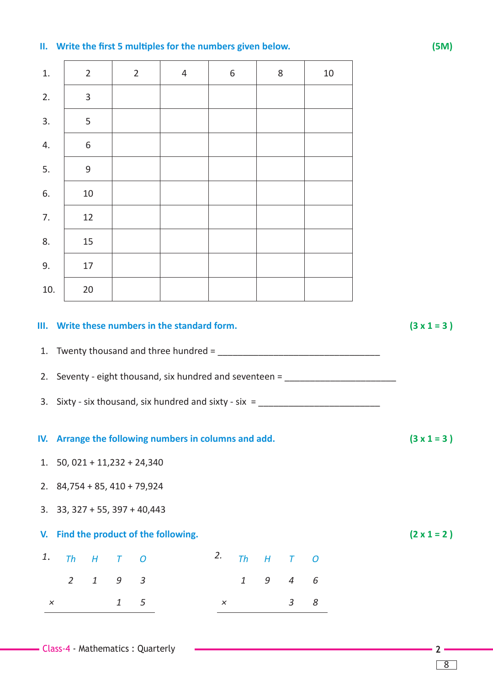## **II. Write the first 5 multiples for the numbers given below. (5M)**

| 1.  |                | $\overline{2}$                |               | $\overline{2}$                  | $\overline{4}$                                                                                                                                                                                                                                                                                                                                                                                                                                         |    | 6            |                  | 8              | 10 |  |
|-----|----------------|-------------------------------|---------------|---------------------------------|--------------------------------------------------------------------------------------------------------------------------------------------------------------------------------------------------------------------------------------------------------------------------------------------------------------------------------------------------------------------------------------------------------------------------------------------------------|----|--------------|------------------|----------------|----|--|
| 2.  |                | 3                             |               |                                 |                                                                                                                                                                                                                                                                                                                                                                                                                                                        |    |              |                  |                |    |  |
| 3.  |                | 5                             |               |                                 |                                                                                                                                                                                                                                                                                                                                                                                                                                                        |    |              |                  |                |    |  |
| 4.  |                | 6                             |               |                                 |                                                                                                                                                                                                                                                                                                                                                                                                                                                        |    |              |                  |                |    |  |
| 5.  |                | 9                             |               |                                 |                                                                                                                                                                                                                                                                                                                                                                                                                                                        |    |              |                  |                |    |  |
| 6.  |                | 10                            |               |                                 |                                                                                                                                                                                                                                                                                                                                                                                                                                                        |    |              |                  |                |    |  |
| 7.  |                | 12                            |               |                                 |                                                                                                                                                                                                                                                                                                                                                                                                                                                        |    |              |                  |                |    |  |
| 8.  |                | 15                            |               |                                 |                                                                                                                                                                                                                                                                                                                                                                                                                                                        |    |              |                  |                |    |  |
| 9.  |                | 17                            |               |                                 |                                                                                                                                                                                                                                                                                                                                                                                                                                                        |    |              |                  |                |    |  |
| 10. |                | 20                            |               |                                 |                                                                                                                                                                                                                                                                                                                                                                                                                                                        |    |              |                  |                |    |  |
|     |                |                               |               |                                 | 1. Twenty thousand and three hundred = $\frac{1}{2}$ = $\frac{1}{2}$ = $\frac{1}{2}$ = $\frac{1}{2}$ = $\frac{1}{2}$ = $\frac{1}{2}$ = $\frac{1}{2}$ = $\frac{1}{2}$ = $\frac{1}{2}$ = $\frac{1}{2}$ = $\frac{1}{2}$ = $\frac{1}{2}$ = $\frac{1}{2}$ = $\frac{1}{2}$ = $\frac{1}{2}$ = $\$<br>2. Seventy - eight thousand, six hundred and seventeen = _______________________<br>3. Sixty - six thousand, six hundred and sixty - six = $\frac{1}{2}$ |    |              |                  |                |    |  |
|     |                |                               |               |                                 | IV. Arrange the following numbers in columns and add.                                                                                                                                                                                                                                                                                                                                                                                                  |    |              |                  |                |    |  |
|     |                |                               |               | 1. $50,021 + 11,232 + 24,340$   |                                                                                                                                                                                                                                                                                                                                                                                                                                                        |    |              |                  |                |    |  |
|     |                |                               |               | 2. $84,754 + 85,410 + 79,924$   |                                                                                                                                                                                                                                                                                                                                                                                                                                                        |    |              |                  |                |    |  |
|     |                |                               |               | 3. $33, 327 + 55, 397 + 40,443$ |                                                                                                                                                                                                                                                                                                                                                                                                                                                        |    |              |                  |                |    |  |
| V.  |                |                               |               |                                 | Find the product of the following.                                                                                                                                                                                                                                                                                                                                                                                                                     |    |              |                  |                |    |  |
| 1.  | Th             | $H_{\rm}$                     | $\tau$        | $\boldsymbol{O}$                |                                                                                                                                                                                                                                                                                                                                                                                                                                                        | 2. | <b>Th</b>    | $\boldsymbol{H}$ | $\tau$         | O  |  |
|     | $\overline{2}$ | $\ensuremath{\mathnormal{1}}$ | $\mathfrak g$ | $\mathfrak{Z}$                  |                                                                                                                                                                                                                                                                                                                                                                                                                                                        |    | $\mathbf{1}$ | 9                | $\overline{4}$ | 6  |  |
|     |                |                               |               |                                 |                                                                                                                                                                                                                                                                                                                                                                                                                                                        |    |              |                  |                |    |  |

8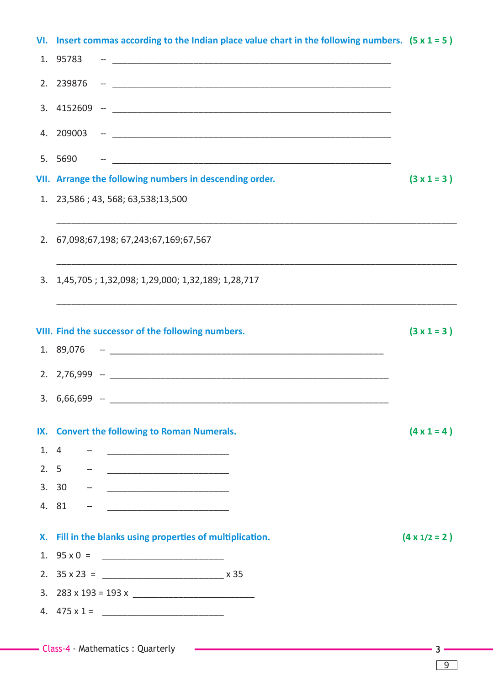|     | VI. Insert commas according to the Indian place value chart in the following numbers. $(5 \times 1 = 5)$ |                      |
|-----|----------------------------------------------------------------------------------------------------------|----------------------|
|     | 1. 95783                                                                                                 |                      |
|     | 2. 239876                                                                                                |                      |
|     | $3.4152609 -$                                                                                            |                      |
|     |                                                                                                          |                      |
|     | 5. 5690                                                                                                  |                      |
|     | VII. Arrange the following numbers in descending order.                                                  | $(3 \times 1 = 3)$   |
|     | 1. 23,586; 43, 568; 63,538; 13,500                                                                       |                      |
|     | 2. 67,098;67,198; 67,243;67,169;67,567                                                                   |                      |
|     | 3. 1,45,705; 1,32,098; 1,29,000; 1,32,189; 1,28,717                                                      |                      |
|     | VIII. Find the successor of the following numbers.                                                       | $(3 \times 1 = 3)$   |
|     |                                                                                                          |                      |
|     |                                                                                                          |                      |
|     |                                                                                                          |                      |
|     |                                                                                                          |                      |
|     | IX. Convert the following to Roman Numerals.                                                             | $(4 \times 1 = 4)$   |
| 1.4 |                                                                                                          |                      |
| 2.5 | <u> 1980 - Andrea Barbara, poeta esperanto-poeta esp</u>                                                 |                      |
|     | 3. 30                                                                                                    |                      |
|     | 4. 81                                                                                                    |                      |
|     | X. Fill in the blanks using properties of multiplication.                                                | $(4 \times 1/2 = 2)$ |
|     |                                                                                                          |                      |
|     |                                                                                                          |                      |
|     |                                                                                                          |                      |
|     |                                                                                                          |                      |
|     |                                                                                                          |                      |